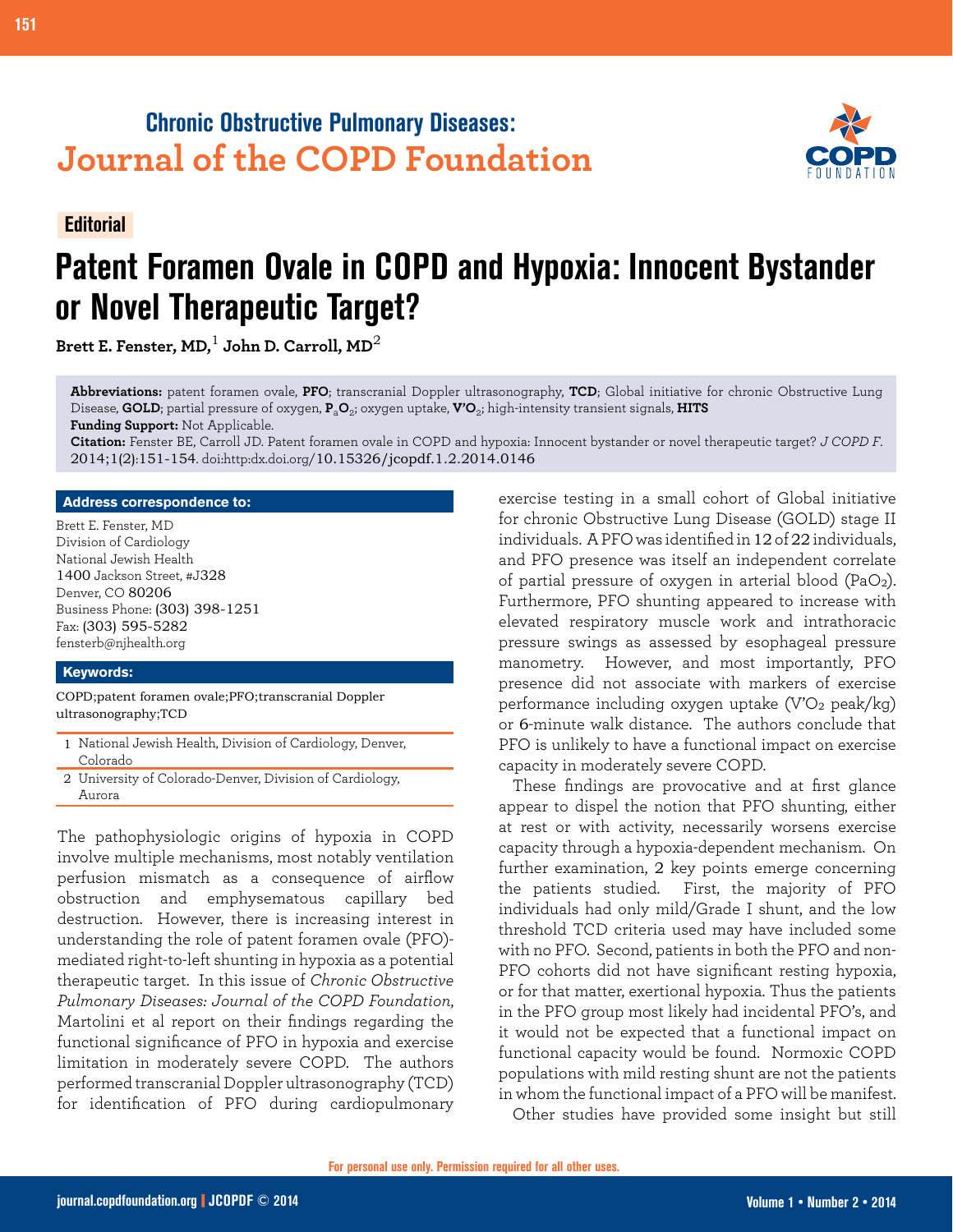## **Chronic Obstructive Pulmonary Diseases: Journal of the COPD Foundation**



### **Editorial**

# **Patent Foramen Ovale in COPD and Hypoxia: Innocent Bystander or Novel Therapeutic Target?**

**Brett E. Fenster, MD,**1 **John D. Carroll, MD**<sup>2</sup>

**Abbreviations:** patent foramen ovale, **PFO**; transcranial Doppler ultrasonography, **TCD**; Global initiative for chronic Obstructive Lung Disease, **GOLD**; partial pressure of oxygen, **P**a**O**2; oxygen uptake, **V'O**2; high-intensity transient signals, **HITS Funding Support:** Not Applicable.

**Citation:** Fenster BE, Carroll JD. Patent foramen ovale in COPD and hypoxia: Innocent bystander or novel therapeutic target? *J COPD F*. 2014;1(2):151-154. doi:http:dx.doi.org/[10.15326/jcopdf.1.2.2014.0146](http:dx.doi.org/10.15326/jcopdf.2.1.2014.0146)

#### **Address correspondence to:**

**151 Editorial: Patent Foramen Ovale in COPD**

Brett E. Fenster, MD Division of Cardiology National Jewish Health 1400 Jackson Street, #J328 Denver, CO 80206 Business Phone: (303) 398-1251 Fax: (303) 595-5282 fensterb@njhealth.org

#### **Keywords:**

COPD;patent foramen ovale;PFO;transcranial Doppler ultrasonography;TCD

- 1 National Jewish Health, Division of Cardiology, Denver, Colorado
- 2 University of Colorado-Denver, Division of Cardiology, Aurora

The pathophysiologic origins of hypoxia in COPD involve multiple mechanisms, most notably ventilation perfusion mismatch as a consequence of airflow obstruction and emphysematous capillary bed destruction. However, there is increasing interest in understanding the role of patent foramen ovale (PFO) mediated right-to-left shunting in hypoxia as a potential therapeutic target. In this issue of *Chronic Obstructive Pulmonary Diseases: Journal of the COPD Foundation*, Martolini et al report on their findings regarding the functional significance of PFO in hypoxia and exercise limitation in moderately severe COPD. The authors performed transcranial Doppler ultrasonography (TCD) for identification of PFO during cardiopulmonary

exercise testing in a small cohort of Global initiative for chronic Obstructive Lung Disease (GOLD) stage II individuals. A PFO was identified in 12 of 22 individuals, and PFO presence was itself an independent correlate of partial pressure of oxygen in arterial blood (PaO<sub>2</sub>). Furthermore, PFO shunting appeared to increase with elevated respiratory muscle work and intrathoracic pressure swings as assessed by esophageal pressure manometry. However, and most importantly, PFO presence did not associate with markers of exercise performance including oxygen uptake  $(V'O<sub>2</sub> peak/kg)$ or 6-minute walk distance. The authors conclude that PFO is unlikely to have a functional impact on exercise capacity in moderately severe COPD.

These findings are provocative and at first glance appear to dispel the notion that PFO shunting, either at rest or with activity, necessarily worsens exercise capacity through a hypoxia-dependent mechanism. On further examination, 2 key points emerge concerning the patients studied. First, the majority of PFO individuals had only mild/Grade I shunt, and the low threshold TCD criteria used may have included some with no PFO. Second, patients in both the PFO and non-PFO cohorts did not have significant resting hypoxia, or for that matter, exertional hypoxia. Thus the patients in the PFO group most likely had incidental PFO's, and it would not be expected that a functional impact on functional capacity would be found. Normoxic COPD populations with mild resting shunt are not the patients in whom the functional impact of a PFO will be manifest.

Other studies have provided some insight but still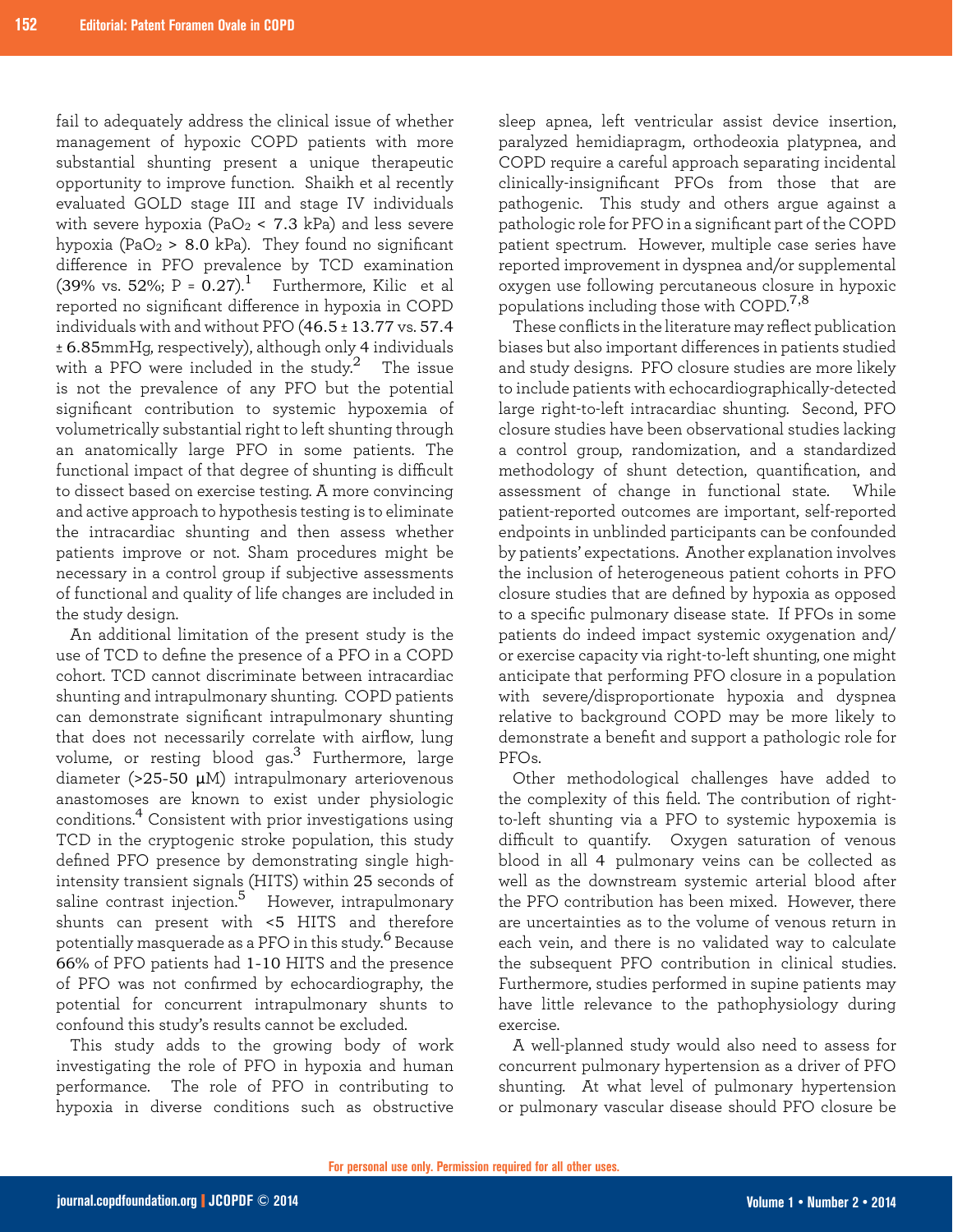fail to adequately address the clinical issue of whether management of hypoxic COPD patients with more substantial shunting present a unique therapeutic opportunity to improve function. Shaikh et al recently evaluated GOLD stage III and stage IV individuals with severe hypoxia (PaO<sub>2</sub> < 7.3 kPa) and less severe hypoxia (PaO<sub>2</sub> > 8.0 kPa). They found no significant difference in PFO prevalence by TCD examination (39% vs. 52%; P =  $0.27$ ).<sup>1</sup> Furthermore, Kilic et al reported no significant difference in hypoxia in COPD individuals with and without PFO (46.5 ± 13.77 vs. 57.4 ± 6.85mmHg, respectively), although only 4 individuals with a PFO were included in the study.<sup>2</sup> The issue is not the prevalence of any PFO but the potential significant contribution to systemic hypoxemia of volumetrically substantial right to left shunting through an anatomically large PFO in some patients. The functional impact of that degree of shunting is difficult to dissect based on exercise testing. A more convincing and active approach to hypothesis testing is to eliminate the intracardiac shunting and then assess whether patients improve or not. Sham procedures might be necessary in a control group if subjective assessments of functional and quality of life changes are included in the study design.

An additional limitation of the present study is the use of TCD to define the presence of a PFO in a COPD cohort. TCD cannot discriminate between intracardiac shunting and intrapulmonary shunting. COPD patients can demonstrate significant intrapulmonary shunting that does not necessarily correlate with airflow, lung volume, or resting blood gas.<sup>3</sup> Furthermore, large diameter ( $>25-50 \mu M$ ) intrapulmonary arteriovenous anastomoses are known to exist under physiologic conditions.4 Consistent with prior investigations using TCD in the cryptogenic stroke population, this study defined PFO presence by demonstrating single highintensity transient signals (HITS) within 25 seconds of saline contrast injection.<sup>5</sup> However, intrapulmonary shunts can present with <5 HITS and therefore potentially masquerade as a PFO in this study.6 Because 66% of PFO patients had 1-10 HITS and the presence of PFO was not confirmed by echocardiography, the potential for concurrent intrapulmonary shunts to confound this study's results cannot be excluded.

This study adds to the growing body of work investigating the role of PFO in hypoxia and human performance. The role of PFO in contributing to hypoxia in diverse conditions such as obstructive

sleep apnea, left ventricular assist device insertion, paralyzed hemidiapragm, orthodeoxia platypnea, and COPD require a careful approach separating incidental clinically-insignificant PFOs from those that are pathogenic. This study and others argue against a pathologic role for PFO in a significant part of the COPD patient spectrum. However, multiple case series have reported improvement in dyspnea and/or supplemental oxygen use following percutaneous closure in hypoxic populations including those with COPD.<sup>7,8</sup>

These conflicts in the literature may reflect publication biases but also important differences in patients studied and study designs. PFO closure studies are more likely to include patients with echocardiographically-detected large right-to-left intracardiac shunting. Second, PFO closure studies have been observational studies lacking a control group, randomization, and a standardized methodology of shunt detection, quantification, and assessment of change in functional state. While patient-reported outcomes are important, self-reported endpoints in unblinded participants can be confounded by patients' expectations. Another explanation involves the inclusion of heterogeneous patient cohorts in PFO closure studies that are defined by hypoxia as opposed to a specific pulmonary disease state. If PFOs in some patients do indeed impact systemic oxygenation and/ or exercise capacity via right-to-left shunting, one might anticipate that performing PFO closure in a population with severe/disproportionate hypoxia and dyspnea relative to background COPD may be more likely to demonstrate a benefit and support a pathologic role for PFOs.

Other methodological challenges have added to the complexity of this field. The contribution of rightto-left shunting via a PFO to systemic hypoxemia is difficult to quantify. Oxygen saturation of venous blood in all 4 pulmonary veins can be collected as well as the downstream systemic arterial blood after the PFO contribution has been mixed. However, there are uncertainties as to the volume of venous return in each vein, and there is no validated way to calculate the subsequent PFO contribution in clinical studies. Furthermore, studies performed in supine patients may have little relevance to the pathophysiology during exercise.

A well-planned study would also need to assess for concurrent pulmonary hypertension as a driver of PFO shunting. At what level of pulmonary hypertension or pulmonary vascular disease should PFO closure be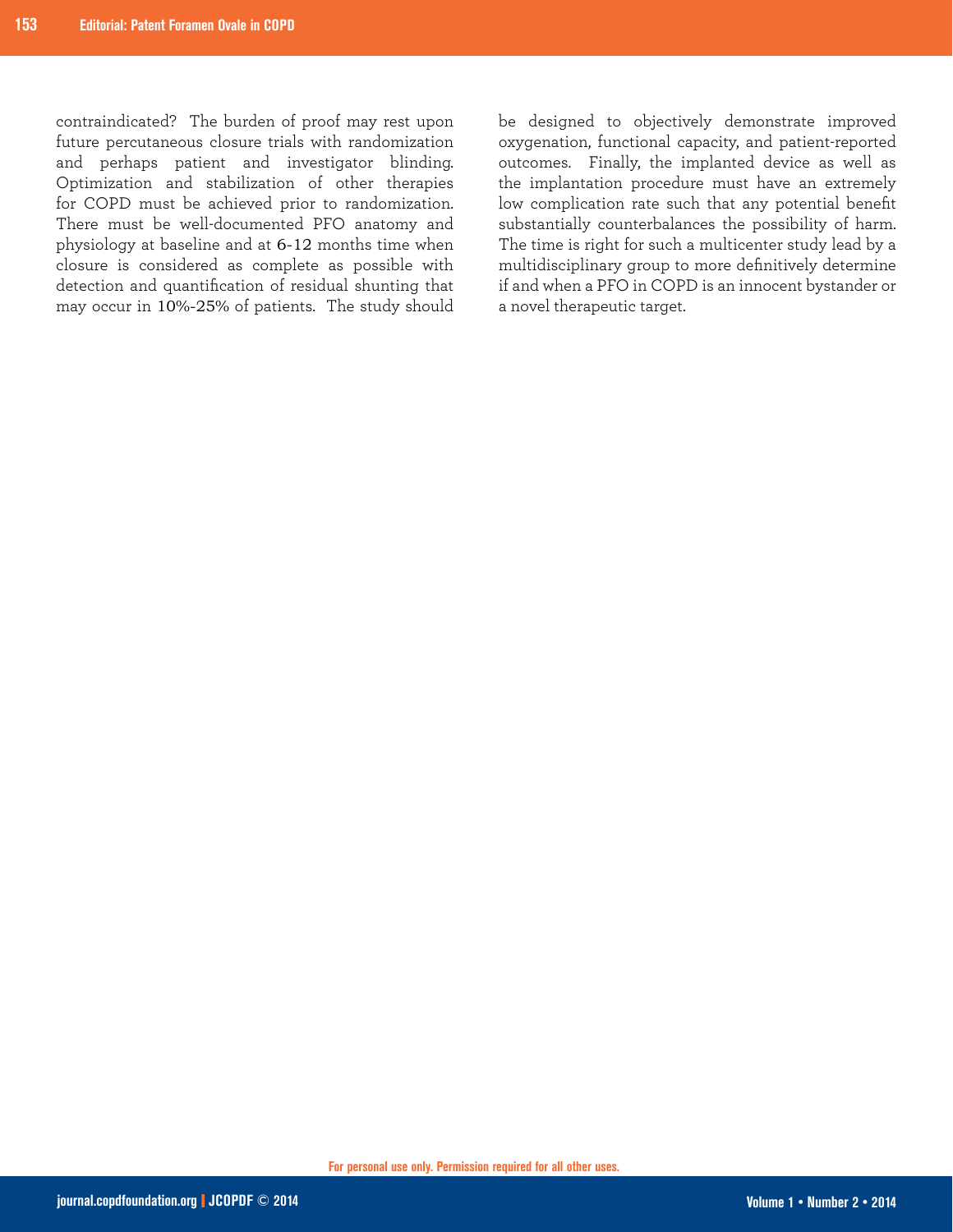contraindicated? The burden of proof may rest upon future percutaneous closure trials with randomization and perhaps patient and investigator blinding. Optimization and stabilization of other therapies for COPD must be achieved prior to randomization. There must be well-documented PFO anatomy and physiology at baseline and at 6-12 months time when closure is considered as complete as possible with detection and quantification of residual shunting that may occur in 10%-25% of patients. The study should

be designed to objectively demonstrate improved oxygenation, functional capacity, and patient-reported outcomes. Finally, the implanted device as well as the implantation procedure must have an extremely low complication rate such that any potential benefit substantially counterbalances the possibility of harm. The time is right for such a multicenter study lead by a multidisciplinary group to more definitively determine if and when a PFO in COPD is an innocent bystander or a novel therapeutic target.